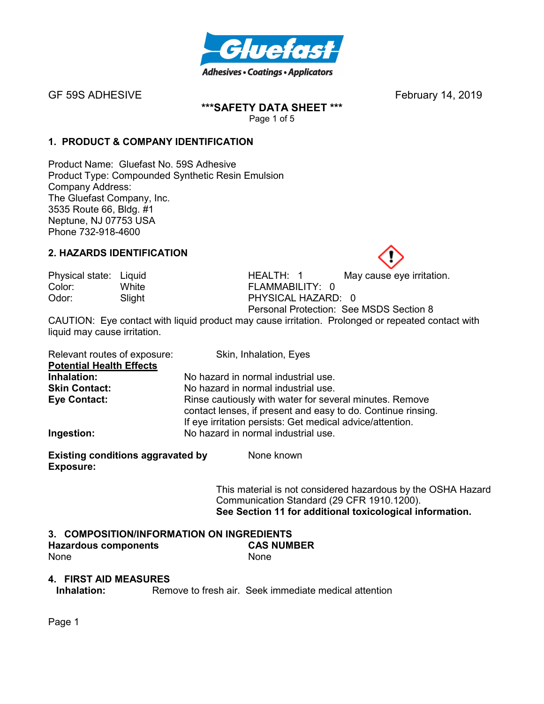

# **\*\*\*SAFETY DATA SHEET \*\*\***

Page 1 of 5

# **1. PRODUCT & COMPANY IDENTIFICATION**

Product Name: Gluefast No. 59S Adhesive Product Type: Compounded Synthetic Resin Emulsion Company Address: The Gluefast Company, Inc. 3535 Route 66, Bldg. #1 Neptune, NJ 07753 USA Phone 732-918-4600

#### **2. HAZARDS IDENTIFICATION**

Color: White FLAMMABILITY: 0

Physical state: Liquid **HEALTH: 1** May cause eye irritation. Odor: Slight PHYSICAL HAZARD: 0 Personal Protection: See MSDS Section 8

CAUTION: Eye contact with liquid product may cause irritation. Prolonged or repeated contact with liquid may cause irritation.

| Relevant routes of exposure:    | Skin, Inhalation, Eyes                                                                                                                                                               |
|---------------------------------|--------------------------------------------------------------------------------------------------------------------------------------------------------------------------------------|
| <b>Potential Health Effects</b> |                                                                                                                                                                                      |
| Inhalation:                     | No hazard in normal industrial use.                                                                                                                                                  |
| <b>Skin Contact:</b>            | No hazard in normal industrial use.                                                                                                                                                  |
| Eye Contact:                    | Rinse cautiously with water for several minutes. Remove<br>contact lenses, if present and easy to do. Continue rinsing.<br>If eye irritation persists: Get medical advice/attention. |
| Ingestion:                      | No hazard in normal industrial use.                                                                                                                                                  |

**Existing conditions aggravated by Solvich Represent Representations Propriet Representations Conditions Exposure:** 

> This material is not considered hazardous by the OSHA Hazard Communication Standard (29 CFR 1910.1200). **See Section 11 for additional toxicological information.**

#### **3. COMPOSITION/INFORMATION ON INGREDIENTS**

| <b>Hazardous components</b> | <b>CAS NUMBER</b> |
|-----------------------------|-------------------|
| None                        | <b>None</b>       |

#### **4. FIRST AID MEASURES**

**Inhalation:** Remove to fresh air. Seek immediate medical attention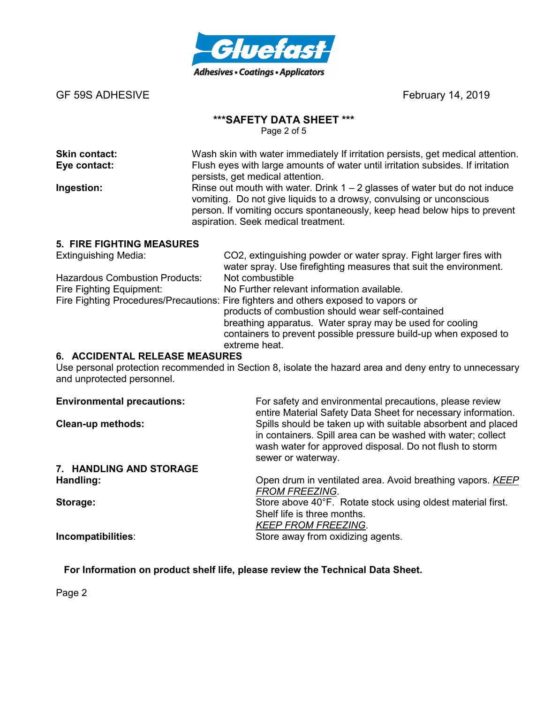

# **\*\*\*SAFETY DATA SHEET \*\*\***

Page 2 of 5

| <b>Skin contact:</b><br>Eye contact: | Wash skin with water immediately If irritation persists, get medical attention.<br>Flush eyes with large amounts of water until irritation subsides. If irritation<br>persists, get medical attention.                                                                   |
|--------------------------------------|--------------------------------------------------------------------------------------------------------------------------------------------------------------------------------------------------------------------------------------------------------------------------|
| Ingestion:                           | Rinse out mouth with water. Drink $1 - 2$ glasses of water but do not induce<br>vomiting. Do not give liquids to a drowsy, convulsing or unconscious<br>person. If vomiting occurs spontaneously, keep head below hips to prevent<br>aspiration. Seek medical treatment. |

#### **5. FIRE FIGHTING MEASURES**

| <b>Extinguishing Media:</b>           | CO2, extinguishing powder or water spray. Fight larger fires with                   |
|---------------------------------------|-------------------------------------------------------------------------------------|
|                                       | water spray. Use firefighting measures that suit the environment.                   |
| <b>Hazardous Combustion Products:</b> | Not combustible                                                                     |
| Fire Fighting Equipment:              | No Further relevant information available.                                          |
|                                       | Fire Fighting Procedures/Precautions: Fire fighters and others exposed to vapors or |
|                                       | products of combustion should wear self-contained                                   |
|                                       | breathing apparatus. Water spray may be used for cooling                            |
|                                       | containers to prevent possible pressure build-up when exposed to                    |
|                                       | extreme heat.                                                                       |

# **6. ACCIDENTAL RELEASE MEASURES**

Use personal protection recommended in Section 8, isolate the hazard area and deny entry to unnecessary and unprotected personnel.

| <b>Environmental precautions:</b> | For safety and environmental precautions, please review<br>entire Material Safety Data Sheet for necessary information.                                                                                      |
|-----------------------------------|--------------------------------------------------------------------------------------------------------------------------------------------------------------------------------------------------------------|
| <b>Clean-up methods:</b>          | Spills should be taken up with suitable absorbent and placed<br>in containers. Spill area can be washed with water; collect<br>wash water for approved disposal. Do not flush to storm<br>sewer or waterway. |
| 7. HANDLING AND STORAGE           |                                                                                                                                                                                                              |
| Handling:                         | Open drum in ventilated area. Avoid breathing vapors. KEEP<br><b>FROM FREEZING.</b>                                                                                                                          |
| Storage:                          | Store above 40°F. Rotate stock using oldest material first.<br>Shelf life is three months.<br><b>KEEP FROM FREEZING.</b>                                                                                     |
| Incompatibilities:                | Store away from oxidizing agents.                                                                                                                                                                            |

**For Information on product shelf life, please review the Technical Data Sheet.**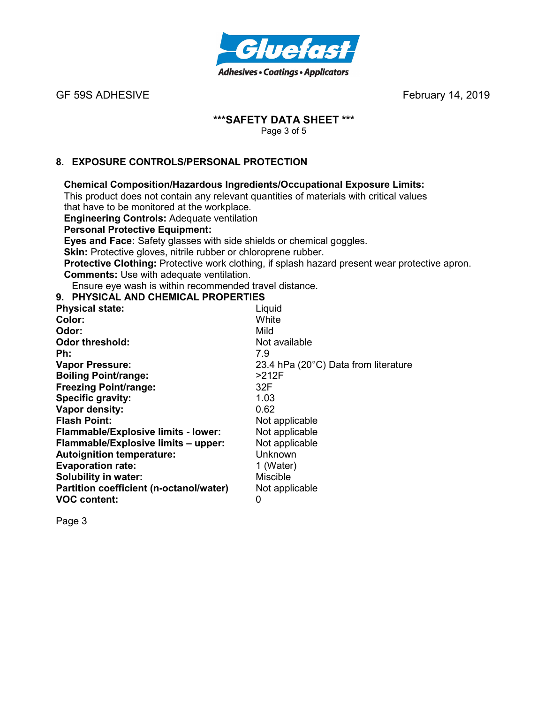

# **\*\*\*SAFETY DATA SHEET \*\*\***

Page 3 of 5

# **8. EXPOSURE CONTROLS/PERSONAL PROTECTION**

# **Chemical Composition/Hazardous Ingredients/Occupational Exposure Limits:**

This product does not contain any relevant quantities of materials with critical values that have to be monitored at the workplace.

**Engineering Controls:** Adequate ventilation

# **Personal Protective Equipment:**

**Eyes and Face:** Safety glasses with side shields or chemical goggles.

**Skin:** Protective gloves, nitrile rubber or chloroprene rubber.

**Protective Clothing:** Protective work clothing, if splash hazard present wear protective apron. **Comments:** Use with adequate ventilation.

Ensure eye wash is within recommended travel distance.

#### **9. PHYSICAL AND CHEMICAL PROPERTIES**

| <b>Physical state:</b>                     | Liquid                               |
|--------------------------------------------|--------------------------------------|
| Color:                                     | White                                |
| Odor:                                      | Mild                                 |
| <b>Odor threshold:</b>                     | Not available                        |
| Ph:                                        | 7.9                                  |
| <b>Vapor Pressure:</b>                     | 23.4 hPa (20°C) Data from literature |
| <b>Boiling Point/range:</b>                | >212F                                |
| <b>Freezing Point/range:</b>               | 32F                                  |
| Specific gravity:                          | 1.03                                 |
| Vapor density:                             | 0.62                                 |
| <b>Flash Point:</b>                        | Not applicable                       |
| <b>Flammable/Explosive limits - lower:</b> | Not applicable                       |
| Flammable/Explosive limits - upper:        | Not applicable                       |
| <b>Autoignition temperature:</b>           | Unknown                              |
| <b>Evaporation rate:</b>                   | 1 (Water)                            |
| <b>Solubility in water:</b>                | <b>Miscible</b>                      |
| Partition coefficient (n-octanol/water)    | Not applicable                       |
| <b>VOC content:</b>                        | 0                                    |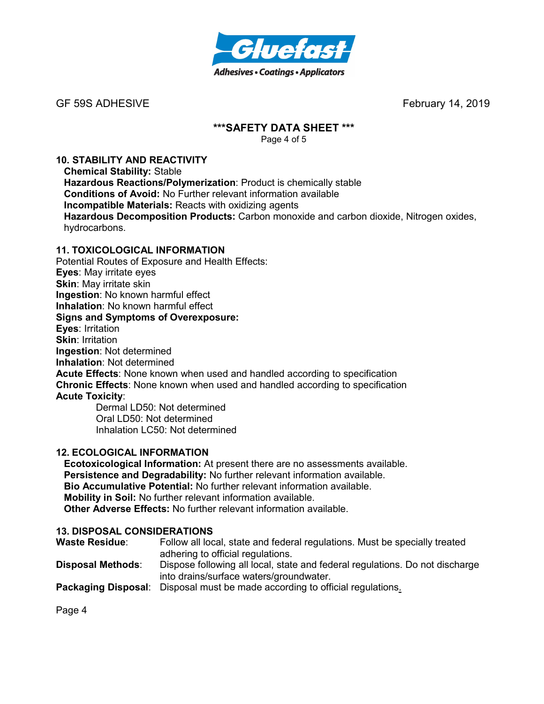

# **\*\*\*SAFETY DATA SHEET \*\*\***

Page 4 of 5

#### **10. STABILITY AND REACTIVITY**

**Chemical Stability:** Stable **Hazardous Reactions/Polymerization**: Product is chemically stable **Conditions of Avoid:** No Further relevant information available **Incompatible Materials:** Reacts with oxidizing agents **Hazardous Decomposition Products:** Carbon monoxide and carbon dioxide, Nitrogen oxides, hydrocarbons.

#### **11. TOXICOLOGICAL INFORMATION**

Potential Routes of Exposure and Health Effects: **Eyes**: May irritate eyes **Skin**: May irritate skin **Ingestion**: No known harmful effect **Inhalation**: No known harmful effect **Signs and Symptoms of Overexposure: Eyes**: Irritation **Skin: Irritation Ingestion**: Not determined **Inhalation**: Not determined **Acute Effects**: None known when used and handled according to specification **Chronic Effects**: None known when used and handled according to specification **Acute Toxicity**: Dermal LD50: Not determined

Oral LD50: Not determined Inhalation LC50: Not determined

# **12. ECOLOGICAL INFORMATION**

**Ecotoxicological Information:** At present there are no assessments available. **Persistence and Degradability:** No further relevant information available. **Bio Accumulative Potential:** No further relevant information available. **Mobility in Soil:** No further relevant information available. **Other Adverse Effects:** No further relevant information available.

#### **13. DISPOSAL CONSIDERATIONS**

| <b>Waste Residue:</b>      | Follow all local, state and federal regulations. Must be specially treated<br>adhering to official regulations.         |
|----------------------------|-------------------------------------------------------------------------------------------------------------------------|
| <b>Disposal Methods:</b>   | Dispose following all local, state and federal regulations. Do not discharge<br>into drains/surface waters/groundwater. |
| <b>Packaging Disposal:</b> | Disposal must be made according to official regulations.                                                                |